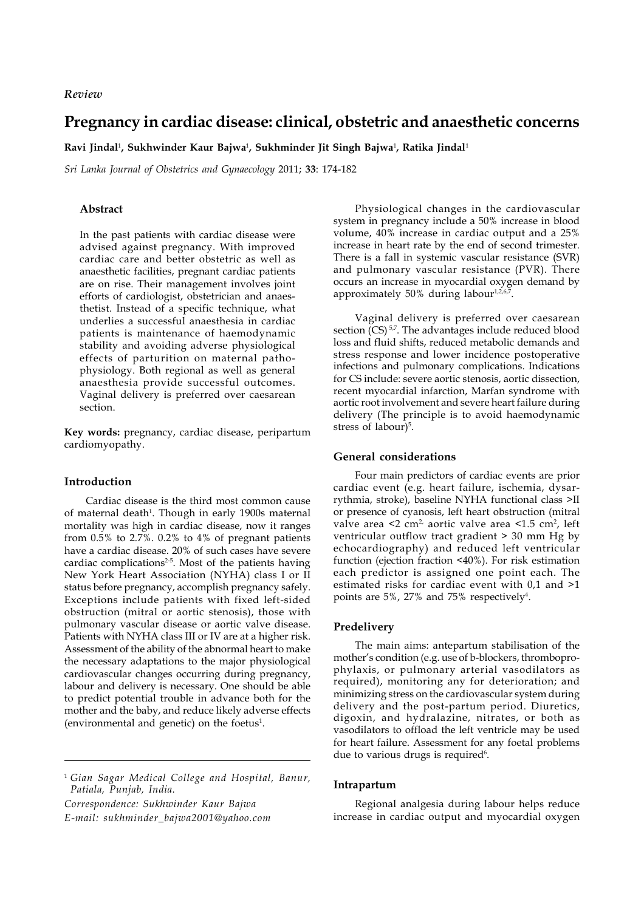*Review*

# **Pregnancy in cardiac disease: clinical, obstetric and anaesthetic concerns**

**Ravi Jindal**<sup>1</sup> **, Sukhwinder Kaur Bajwa**<sup>1</sup> **, Sukhminder Jit Singh Bajwa**<sup>1</sup> **, Ratika Jindal**<sup>1</sup>

*Sri Lanka Journal of Obstetrics and Gynaecology* 2011; **33**: 174-182

# **Abstract**

In the past patients with cardiac disease were advised against pregnancy. With improved cardiac care and better obstetric as well as anaesthetic facilities, pregnant cardiac patients are on rise. Their management involves joint efforts of cardiologist, obstetrician and anaesthetist. Instead of a specific technique, what underlies a successful anaesthesia in cardiac patients is maintenance of haemodynamic stability and avoiding adverse physiological effects of parturition on maternal pathophysiology. Both regional as well as general anaesthesia provide successful outcomes. Vaginal delivery is preferred over caesarean section.

**Key words:** pregnancy, cardiac disease, peripartum cardiomyopathy.

# **Introduction**

Cardiac disease is the third most common cause of maternal death<sup>1</sup>. Though in early 1900s maternal mortality was high in cardiac disease, now it ranges from 0.5% to 2.7%. 0.2% to 4% of pregnant patients have a cardiac disease. 20% of such cases have severe cardiac complications $2-5$ . Most of the patients having New York Heart Association (NYHA) class I or II status before pregnancy, accomplish pregnancy safely. Exceptions include patients with fixed left-sided obstruction (mitral or aortic stenosis), those with pulmonary vascular disease or aortic valve disease. Patients with NYHA class III or IV are at a higher risk. Assessment of the ability of the abnormal heart to make the necessary adaptations to the major physiological cardiovascular changes occurring during pregnancy, labour and delivery is necessary. One should be able to predict potential trouble in advance both for the mother and the baby, and reduce likely adverse effects (environmental and genetic) on the foetus<sup>1</sup>.

*Correspondence: Sukhwinder Kaur Bajwa E-mail: sukhminder\_bajwa2001@yahoo.com*

Physiological changes in the cardiovascular system in pregnancy include a 50% increase in blood volume, 40% increase in cardiac output and a 25% increase in heart rate by the end of second trimester. There is a fall in systemic vascular resistance (SVR) and pulmonary vascular resistance (PVR). There occurs an increase in myocardial oxygen demand by approximately 50% during labour $1,2,6$ ,

Vaginal delivery is preferred over caesarean section  $(CS)$ <sup>5,7</sup>. The advantages include reduced blood loss and fluid shifts, reduced metabolic demands and stress response and lower incidence postoperative infections and pulmonary complications. Indications for CS include: severe aortic stenosis, aortic dissection, recent myocardial infarction, Marfan syndrome with aortic root involvement and severe heart failure during delivery (The principle is to avoid haemodynamic stress of labour)<sup>5</sup>.

# **General considerations**

Four main predictors of cardiac events are prior cardiac event (e.g. heart failure, ischemia, dysarrythmia, stroke), baseline NYHA functional class >II or presence of cyanosis, left heart obstruction (mitral valve area <2 cm² aortic valve area <1.5 cm², left ventricular outflow tract gradient > 30 mm Hg by echocardiography) and reduced left ventricular function (ejection fraction <40%). For risk estimation each predictor is assigned one point each. The estimated risks for cardiac event with 0,1 and >1 points are  $5\%$ , 27% and 75% respectively<sup>4</sup>.

### **Predelivery**

The main aims: antepartum stabilisation of the mother's condition (e.g. use of b-blockers, thromboprophylaxis, or pulmonary arterial vasodilators as required), monitoring any for deterioration; and minimizing stress on the cardiovascular system during delivery and the post-partum period. Diuretics, digoxin, and hydralazine, nitrates, or both as vasodilators to offload the left ventricle may be used for heart failure. Assessment for any foetal problems due to various drugs is required<sup>6</sup>.

#### **Intrapartum**

Regional analgesia during labour helps reduce increase in cardiac output and myocardial oxygen

<sup>1</sup> *Gian Sagar Medical College and Hospital, Banur, Patiala, Punjab, India.*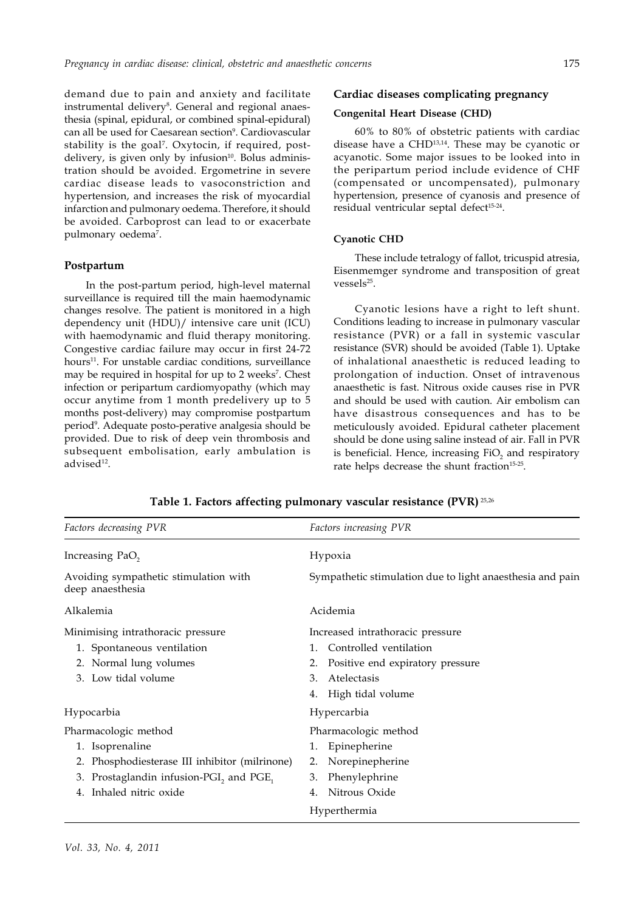demand due to pain and anxiety and facilitate instrumental delivery<sup>8</sup>. General and regional anaesthesia (spinal, epidural, or combined spinal-epidural) can all be used for Caesarean section<sup>9</sup>. Cardiovascular stability is the goal7 . Oxytocin, if required, postdelivery, is given only by infusion $10$ . Bolus administration should be avoided. Ergometrine in severe cardiac disease leads to vasoconstriction and hypertension, and increases the risk of myocardial infarction and pulmonary oedema. Therefore, it should be avoided. Carboprost can lead to or exacerbate pulmonary oedema<sup>7</sup>.

### **Postpartum**

In the post-partum period, high-level maternal surveillance is required till the main haemodynamic changes resolve. The patient is monitored in a high dependency unit (HDU)/ intensive care unit (ICU) with haemodynamic and fluid therapy monitoring. Congestive cardiac failure may occur in first 24-72 hours<sup>11</sup>. For unstable cardiac conditions, surveillance may be required in hospital for up to 2 weeks<sup>7</sup>. Chest infection or peripartum cardiomyopathy (which may occur anytime from 1 month predelivery up to 5 months post-delivery) may compromise postpartum period9 . Adequate posto-perative analgesia should be provided. Due to risk of deep vein thrombosis and subsequent embolisation, early ambulation is advised<sup>12</sup>.

# **Cardiac diseases complicating pregnancy**

# **Congenital Heart Disease (CHD)**

60% to 80% of obstetric patients with cardiac disease have a CHD13,14. These may be cyanotic or acyanotic. Some major issues to be looked into in the peripartum period include evidence of CHF (compensated or uncompensated), pulmonary hypertension, presence of cyanosis and presence of residual ventricular septal defect<sup>15-24</sup>.

### **Cyanotic CHD**

These include tetralogy of fallot, tricuspid atresia, Eisenmemger syndrome and transposition of great vessels25.

Cyanotic lesions have a right to left shunt. Conditions leading to increase in pulmonary vascular resistance (PVR) or a fall in systemic vascular resistance (SVR) should be avoided (Table 1). Uptake of inhalational anaesthetic is reduced leading to prolongation of induction. Onset of intravenous anaesthetic is fast. Nitrous oxide causes rise in PVR and should be used with caution. Air embolism can have disastrous consequences and has to be meticulously avoided. Epidural catheter placement should be done using saline instead of air. Fall in PVR is beneficial. Hence, increasing  $\mathrm{FiO}_2$  and respiratory rate helps decrease the shunt fraction<sup>15-25</sup>.

| Factors decreasing PVR                                                                                                                                                   | Factors increasing PVR                                                                                                                                     |  |  |
|--------------------------------------------------------------------------------------------------------------------------------------------------------------------------|------------------------------------------------------------------------------------------------------------------------------------------------------------|--|--|
| Increasing PaO <sub>2</sub>                                                                                                                                              | Hypoxia                                                                                                                                                    |  |  |
| Avoiding sympathetic stimulation with<br>deep anaesthesia                                                                                                                | Sympathetic stimulation due to light anaesthesia and pain                                                                                                  |  |  |
| Alkalemia                                                                                                                                                                | Acidemia                                                                                                                                                   |  |  |
| Minimising intrathoracic pressure<br>1. Spontaneous ventilation<br>2. Normal lung volumes<br>Low tidal volume<br>$3_{-}$                                                 | Increased intrathoracic pressure<br>Controlled ventilation<br>1.<br>Positive end expiratory pressure<br>2.<br>Atelectasis<br>3.<br>High tidal volume<br>4. |  |  |
| Hypocarbia                                                                                                                                                               | Hypercarbia                                                                                                                                                |  |  |
| Pharmacologic method<br>1. Isoprenaline<br>Phosphodiesterase III inhibitor (milrinone)<br>2.<br>Prostaglandin infusion-PGI, and PGE,<br>3.<br>Inhaled nitric oxide<br>4. | Pharmacologic method<br>Epinepherine<br>1.<br>Norepinepherine<br>2.<br>Phenylephrine<br>3.<br>Nitrous Oxide<br>4.<br>Hyperthermia                          |  |  |

**Table 1. Factors affecting pulmonary vascular resistance (PVR)** 25,26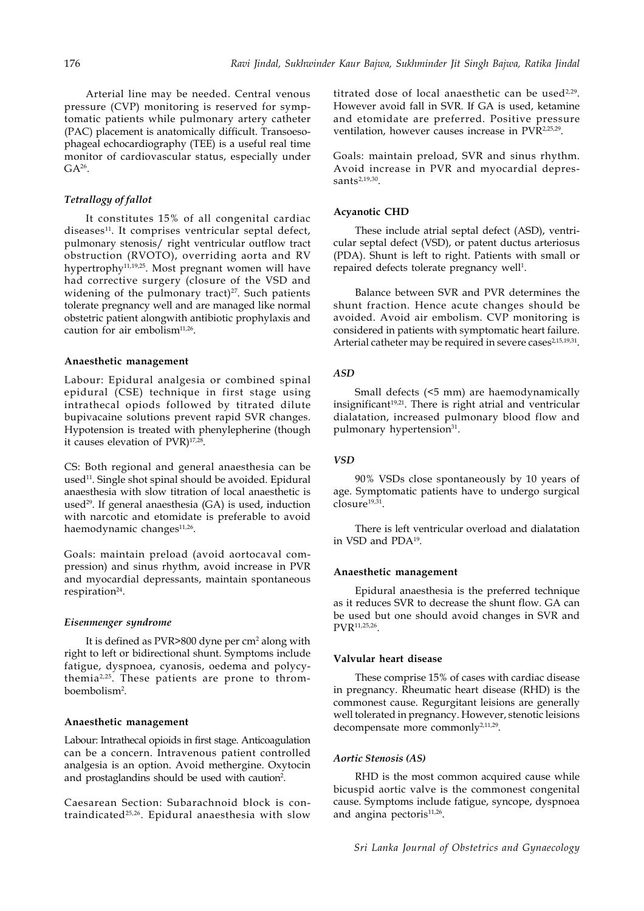Arterial line may be needed. Central venous pressure (CVP) monitoring is reserved for symptomatic patients while pulmonary artery catheter (PAC) placement is anatomically difficult. Transoesophageal echocardiography (TEE) is a useful real time monitor of cardiovascular status, especially under  $GA^{26}$ .

# *Tetrallogy of fallot*

It constitutes 15% of all congenital cardiac diseases<sup>11</sup>. It comprises ventricular septal defect, pulmonary stenosis/ right ventricular outflow tract obstruction (RVOTO), overriding aorta and RV hypertrophy<sup>11,19,25</sup>. Most pregnant women will have had corrective surgery (closure of the VSD and widening of the pulmonary tract) $27$ . Such patients tolerate pregnancy well and are managed like normal obstetric patient alongwith antibiotic prophylaxis and caution for air embolism<sup>11,26</sup>.

# **Anaesthetic management**

Labour: Epidural analgesia or combined spinal epidural (CSE) technique in first stage using intrathecal opiods followed by titrated dilute bupivacaine solutions prevent rapid SVR changes. Hypotension is treated with phenylepherine (though it causes elevation of PVR)<sup>17,28</sup>.

CS: Both regional and general anaesthesia can be used<sup>11</sup>. Single shot spinal should be avoided. Epidural anaesthesia with slow titration of local anaesthetic is used<sup>29</sup>. If general anaesthesia (GA) is used, induction with narcotic and etomidate is preferable to avoid haemodynamic changes<sup>11,26</sup>.

Goals: maintain preload (avoid aortocaval compression) and sinus rhythm, avoid increase in PVR and myocardial depressants, maintain spontaneous respiration<sup>24</sup>.

### *Eisenmenger syndrome*

It is defined as PVR>800 dyne per cm<sup>2</sup> along with right to left or bidirectional shunt. Symptoms include fatigue, dyspnoea, cyanosis, oedema and polycythemia2,25. These patients are prone to thromboembolism2 .

#### **Anaesthetic management**

Labour: Intrathecal opioids in first stage. Anticoagulation can be a concern. Intravenous patient controlled analgesia is an option. Avoid methergine. Oxytocin and prostaglandins should be used with caution<sup>2</sup>.

Caesarean Section: Subarachnoid block is contraindicated25,26. Epidural anaesthesia with slow

titrated dose of local anaesthetic can be used $2.29$ . However avoid fall in SVR. If GA is used, ketamine and etomidate are preferred. Positive pressure ventilation, however causes increase in PVR2,25,29.

Goals: maintain preload, SVR and sinus rhythm. Avoid increase in PVR and myocardial depres $sants<sup>2,19,30</sup>$ .

#### **Acyanotic CHD**

These include atrial septal defect (ASD), ventricular septal defect (VSD), or patent ductus arteriosus (PDA). Shunt is left to right. Patients with small or repaired defects tolerate pregnancy well<sup>1</sup>.

Balance between SVR and PVR determines the shunt fraction. Hence acute changes should be avoided. Avoid air embolism. CVP monitoring is considered in patients with symptomatic heart failure. Arterial catheter may be required in severe cases<sup>2,15,19,31</sup>.

# *ASD*

Small defects (<5 mm) are haemodynamically insignificant<sup>19,21</sup>. There is right atrial and ventricular dialatation, increased pulmonary blood flow and pulmonary hypertension<sup>31</sup>.

# *VSD*

90% VSDs close spontaneously by 10 years of age. Symptomatic patients have to undergo surgical closure<sup>19,31</sup>.

There is left ventricular overload and dialatation in VSD and PDA19.

#### **Anaesthetic management**

Epidural anaesthesia is the preferred technique as it reduces SVR to decrease the shunt flow. GA can be used but one should avoid changes in SVR and PVR11,25,26.

#### **Valvular heart disease**

These comprise 15% of cases with cardiac disease in pregnancy. Rheumatic heart disease (RHD) is the commonest cause. Regurgitant leisions are generally well tolerated in pregnancy. However, stenotic leisions decompensate more commonly<sup>2,11,29</sup>.

#### *Aortic Stenosis (AS)*

RHD is the most common acquired cause while bicuspid aortic valve is the commonest congenital cause. Symptoms include fatigue, syncope, dyspnoea and angina pectoris $11,26$ .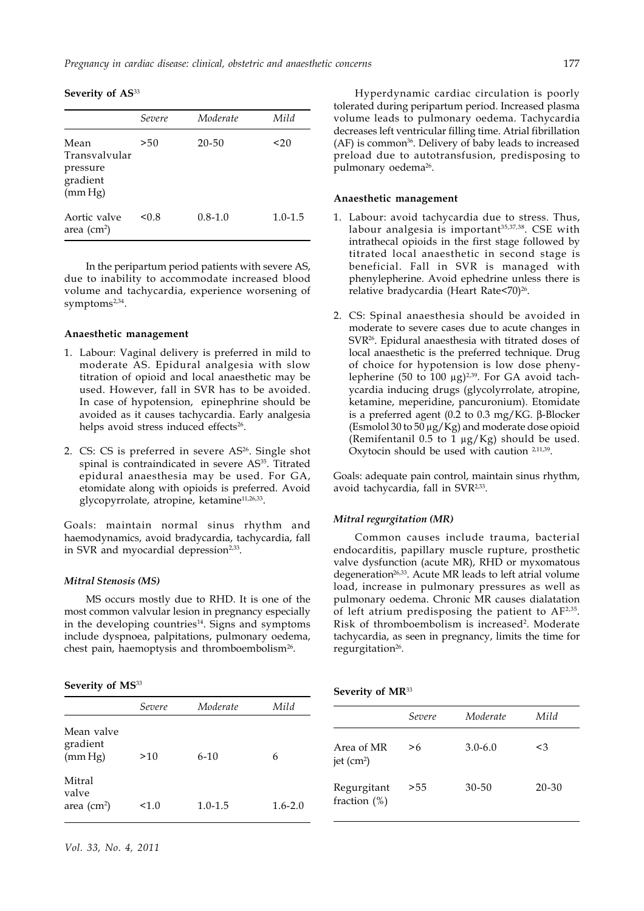**Severity of AS**<sup>33</sup>

|                                                          | <i>Severe</i> | Moderate    | Mild        |
|----------------------------------------------------------|---------------|-------------|-------------|
| Mean<br>Transvalvular<br>pressure<br>gradient<br>(mm Hg) | >50           | 20-50       | 20          |
| Aortic valve<br>area $(cm2)$                             | < 0.8         | $0.8 - 1.0$ | $1.0 - 1.5$ |

In the peripartum period patients with severe AS, due to inability to accommodate increased blood volume and tachycardia, experience worsening of symptom $s^{2,34}$ .

### **Anaesthetic management**

- 1. Labour: Vaginal delivery is preferred in mild to moderate AS. Epidural analgesia with slow titration of opioid and local anaesthetic may be used. However, fall in SVR has to be avoided. In case of hypotension, epinephrine should be avoided as it causes tachycardia. Early analgesia helps avoid stress induced effects<sup>26</sup>.
- 2. CS: CS is preferred in severe AS<sup>26</sup>. Single shot spinal is contraindicated in severe AS<sup>35</sup>. Titrated epidural anaesthesia may be used. For GA, etomidate along with opioids is preferred. Avoid glycopyrrolate, atropine, ketamine<sup>11,26,33</sup>.

Goals: maintain normal sinus rhythm and haemodynamics, avoid bradycardia, tachycardia, fall in SVR and myocardial depression<sup>2,33</sup>.

# *Mitral Stenosis (MS)*

MS occurs mostly due to RHD. It is one of the most common valvular lesion in pregnancy especially in the developing countries<sup>14</sup>. Signs and symptoms include dyspnoea, palpitations, pulmonary oedema, chest pain, haemoptysis and thromboembolism<sup>26</sup>.

# **Severity of MS**<sup>33</sup>

|                                            | Severe | Moderate    | Mild        |
|--------------------------------------------|--------|-------------|-------------|
| Mean valve<br>gradient<br>(mm Hg)          | >10    | $6 - 10$    | 6           |
| Mitral<br>valve<br>area (cm <sup>2</sup> ) | 1.0    | $1.0 - 1.5$ | $1.6 - 2.0$ |

Hyperdynamic cardiac circulation is poorly tolerated during peripartum period. Increased plasma volume leads to pulmonary oedema. Tachycardia decreases left ventricular filling time. Atrial fibrillation (AF) is common<sup>36</sup>. Delivery of baby leads to increased preload due to autotransfusion, predisposing to pulmonary oedema<sup>26</sup>.

# **Anaesthetic management**

- 1. Labour: avoid tachycardia due to stress. Thus, labour analgesia is important<sup>35,37,38</sup>. CSE with intrathecal opioids in the first stage followed by titrated local anaesthetic in second stage is beneficial. Fall in SVR is managed with phenylepherine. Avoid ephedrine unless there is relative bradycardia (Heart Rate<70)<sup>26</sup>.
- 2. CS: Spinal anaesthesia should be avoided in moderate to severe cases due to acute changes in SVR26. Epidural anaesthesia with titrated doses of local anaesthetic is the preferred technique. Drug of choice for hypotension is low dose phenylepherine (50 to 100  $\mu$ g)<sup>2,39</sup>. For GA avoid tachycardia inducing drugs (glycolyrrolate, atropine, ketamine, meperidine, pancuronium). Etomidate is a preferred agent (0.2 to 0.3 mg/KG. β-Blocker (Esmolol 30 to 50 μg/Kg) and moderate dose opioid (Remifentanil 0.5 to 1  $\mu$ g/Kg) should be used. Oxytocin should be used with caution <sup>2,11,39</sup>.

Goals: adequate pain control, maintain sinus rhythm, avoid tachycardia, fall in SVR2,33.

# *Mitral regurgitation (MR)*

Common causes include trauma, bacterial endocarditis, papillary muscle rupture, prosthetic valve dysfunction (acute MR), RHD or myxomatous degeneration<sup>26,33</sup>. Acute MR leads to left atrial volume load, increase in pulmonary pressures as well as pulmonary oedema. Chronic MR causes dialatation of left atrium predisposing the patient to AF2,35. Risk of thromboembolism is increased<sup>2</sup>. Moderate tachycardia, as seen in pregnancy, limits the time for regurgitation<sup>26</sup>.

| Severity of MR <sup>33</sup> |  |  |
|------------------------------|--|--|
|------------------------------|--|--|

|                                | Severe | Moderate    | Mild      |
|--------------------------------|--------|-------------|-----------|
| Area of MR<br>jet $(cm2)$      | >6     | $3.0 - 6.0$ | $\leq$ 3  |
| Regurgitant<br>fraction $(\%)$ | >55    | $30 - 50$   | $20 - 30$ |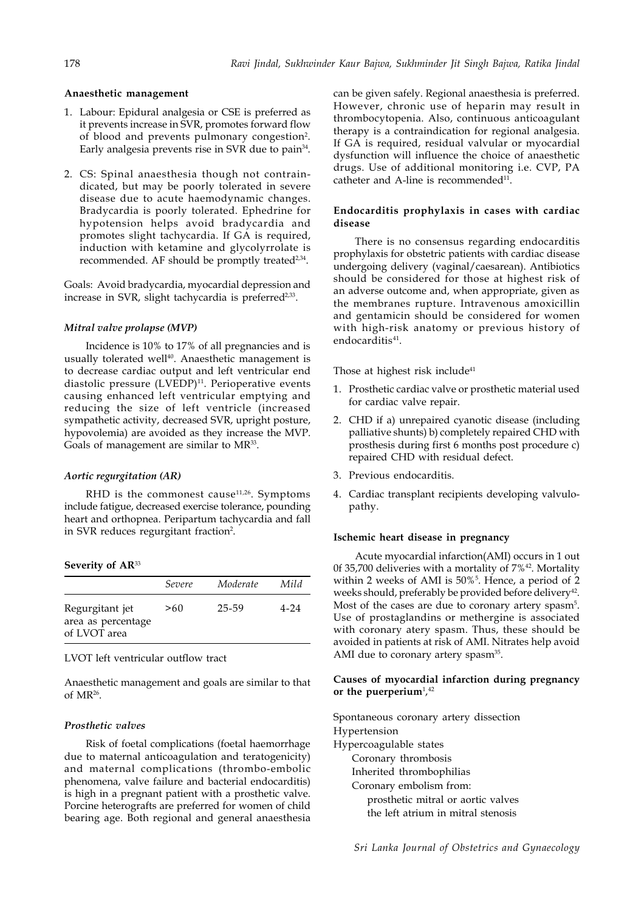# **Anaesthetic management**

- 1. Labour: Epidural analgesia or CSE is preferred as it prevents increase in SVR, promotes forward flow of blood and prevents pulmonary congestion<sup>2</sup>. Early analgesia prevents rise in SVR due to pain<sup>34</sup>.
- 2. CS: Spinal anaesthesia though not contraindicated, but may be poorly tolerated in severe disease due to acute haemodynamic changes. Bradycardia is poorly tolerated. Ephedrine for hypotension helps avoid bradycardia and promotes slight tachycardia. If GA is required, induction with ketamine and glycolyrrolate is recommended. AF should be promptly treated<sup>2,34</sup>.

Goals: Avoid bradycardia, myocardial depression and increase in SVR, slight tachycardia is preferred $2,33$ .

#### *Mitral valve prolapse (MVP)*

Incidence is 10% to 17% of all pregnancies and is usually tolerated well<sup>40</sup>. Anaesthetic management is to decrease cardiac output and left ventricular end diastolic pressure (LVEDP)<sup>11</sup>. Perioperative events causing enhanced left ventricular emptying and reducing the size of left ventricle (increased sympathetic activity, decreased SVR, upright posture, hypovolemia) are avoided as they increase the MVP. Goals of management are similar to MR<sup>33</sup>.

#### *Aortic regurgitation (AR)*

RHD is the commonest cause $11,26$ . Symptoms include fatigue, decreased exercise tolerance, pounding heart and orthopnea. Peripartum tachycardia and fall in SVR reduces regurgitant fraction<sup>2</sup>.

**Severity of AR**<sup>33</sup>

|                                                       | Severe | Moderate | Mild |
|-------------------------------------------------------|--------|----------|------|
| Regurgitant jet<br>area as percentage<br>of LVOT area | >60    | 25-59    | 4-24 |

# LVOT left ventricular outflow tract

Anaesthetic management and goals are similar to that of  $MR^{26}$ .

### *Prosthetic valves*

Risk of foetal complications (foetal haemorrhage due to maternal anticoagulation and teratogenicity) and maternal complications (thrombo-embolic phenomena, valve failure and bacterial endocarditis) is high in a pregnant patient with a prosthetic valve. Porcine heterografts are preferred for women of child bearing age. Both regional and general anaesthesia

can be given safely. Regional anaesthesia is preferred. However, chronic use of heparin may result in thrombocytopenia. Also, continuous anticoagulant therapy is a contraindication for regional analgesia. If GA is required, residual valvular or myocardial dysfunction will influence the choice of anaesthetic drugs. Use of additional monitoring i.e. CVP, PA catheter and A-line is recommended<sup>11</sup>.

# **Endocarditis prophylaxis in cases with cardiac disease**

There is no consensus regarding endocarditis prophylaxis for obstetric patients with cardiac disease undergoing delivery (vaginal/caesarean). Antibiotics should be considered for those at highest risk of an adverse outcome and, when appropriate, given as the membranes rupture. Intravenous amoxicillin and gentamicin should be considered for women with high-risk anatomy or previous history of endocarditis<sup>41</sup>.

Those at highest risk include<sup>41</sup>

- 1. Prosthetic cardiac valve or prosthetic material used for cardiac valve repair.
- 2. CHD if a) unrepaired cyanotic disease (including palliative shunts) b) completely repaired CHD with prosthesis during first 6 months post procedure c) repaired CHD with residual defect.
- 3. Previous endocarditis.
- 4. Cardiac transplant recipients developing valvulopathy.

### **Ischemic heart disease in pregnancy**

Acute myocardial infarction(AMI) occurs in 1 out 0f 35,700 deliveries with a mortality of 7%42. Mortality within 2 weeks of AMI is 50%<sup>5</sup>. Hence, a period of 2 weeks should, preferably be provided before delivery<sup>42</sup>. Most of the cases are due to coronary artery spasm<sup>5</sup>. Use of prostaglandins or methergine is associated with coronary atery spasm. Thus, these should be avoided in patients at risk of AMI. Nitrates help avoid AMI due to coronary artery spasm<sup>35</sup>.

# **Causes of myocardial infarction during pregnancy** or the puerperium<sup>1</sup>,<sup>42</sup>

Spontaneous coronary artery dissection Hypertension Hypercoagulable states Coronary thrombosis Inherited thrombophilias Coronary embolism from: prosthetic mitral or aortic valves the left atrium in mitral stenosis

*Sri Lanka Journal of Obstetrics and Gynaecology*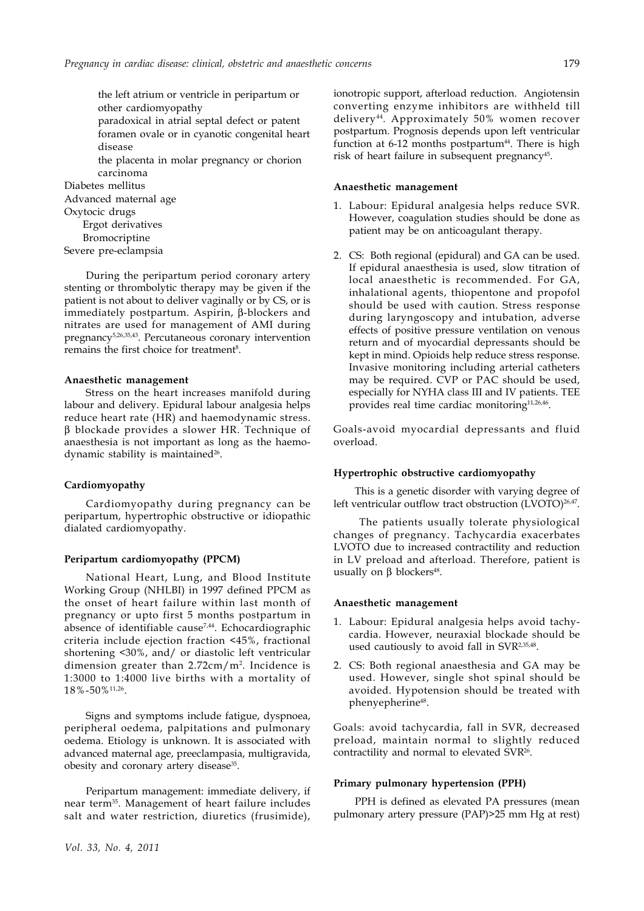the left atrium or ventricle in peripartum or other cardiomyopathy paradoxical in atrial septal defect or patent foramen ovale or in cyanotic congenital heart disease the placenta in molar pregnancy or chorion carcinoma Diabetes mellitus Advanced maternal age Oxytocic drugs Ergot derivatives

Bromocriptine Severe pre-eclampsia

During the peripartum period coronary artery stenting or thrombolytic therapy may be given if the patient is not about to deliver vaginally or by CS, or is immediately postpartum. Aspirin, β-blockers and nitrates are used for management of AMI during pregnancy5,26,35,43. Percutaneous coronary intervention remains the first choice for treatment<sup>8</sup>.

### **Anaesthetic management**

Stress on the heart increases manifold during labour and delivery. Epidural labour analgesia helps reduce heart rate (HR) and haemodynamic stress. β blockade provides a slower HR. Technique of anaesthesia is not important as long as the haemodynamic stability is maintained<sup>26</sup>.

#### **Cardiomyopathy**

Cardiomyopathy during pregnancy can be peripartum, hypertrophic obstructive or idiopathic dialated cardiomyopathy.

# **Peripartum cardiomyopathy (PPCM)**

National Heart, Lung, and Blood Institute Working Group (NHLBI) in 1997 defined PPCM as the onset of heart failure within last month of pregnancy or upto first 5 months postpartum in absence of identifiable cause<sup>7,44</sup>. Echocardiographic criteria include ejection fraction <45%, fractional shortening <30%, and/ or diastolic left ventricular dimension greater than 2.72cm/m2 . Incidence is 1:3000 to 1:4000 live births with a mortality of 18%-50%11,26.

Signs and symptoms include fatigue, dyspnoea, peripheral oedema, palpitations and pulmonary oedema. Etiology is unknown. It is associated with advanced maternal age, preeclampasia, multigravida, obesity and coronary artery disease<sup>35</sup>.

Peripartum management: immediate delivery, if near term35. Management of heart failure includes salt and water restriction, diuretics (frusimide), ionotropic support, afterload reduction. Angiotensin converting enzyme inhibitors are withheld till delivery44. Approximately 50% women recover postpartum. Prognosis depends upon left ventricular function at 6-12 months postpartum $44$ . There is high risk of heart failure in subsequent pregnancy<sup>45</sup>.

#### **Anaesthetic management**

- 1. Labour: Epidural analgesia helps reduce SVR. However, coagulation studies should be done as patient may be on anticoagulant therapy.
- 2. CS: Both regional (epidural) and GA can be used. If epidural anaesthesia is used, slow titration of local anaesthetic is recommended. For GA, inhalational agents, thiopentone and propofol should be used with caution. Stress response during laryngoscopy and intubation, adverse effects of positive pressure ventilation on venous return and of myocardial depressants should be kept in mind. Opioids help reduce stress response. Invasive monitoring including arterial catheters may be required. CVP or PAC should be used, especially for NYHA class III and IV patients. TEE provides real time cardiac monitoring<sup>11,26,46</sup>.

Goals-avoid myocardial depressants and fluid overload.

#### **Hypertrophic obstructive cardiomyopathy**

This is a genetic disorder with varying degree of left ventricular outflow tract obstruction (LVOTO)<sup>26,47</sup>.

 The patients usually tolerate physiological changes of pregnancy. Tachycardia exacerbates LVOTO due to increased contractility and reduction in LV preload and afterload. Therefore, patient is usually on  $β$  blockers<sup>48</sup>.

#### **Anaesthetic management**

- 1. Labour: Epidural analgesia helps avoid tachycardia. However, neuraxial blockade should be used cautiously to avoid fall in SVR2,35,48.
- 2. CS: Both regional anaesthesia and GA may be used. However, single shot spinal should be avoided. Hypotension should be treated with phenyepherine<sup>48</sup>.

Goals: avoid tachycardia, fall in SVR, decreased preload, maintain normal to slightly reduced contractility and normal to elevated SVR<sup>26</sup>.

### **Primary pulmonary hypertension (PPH)**

PPH is defined as elevated PA pressures (mean pulmonary artery pressure (PAP)>25 mm Hg at rest)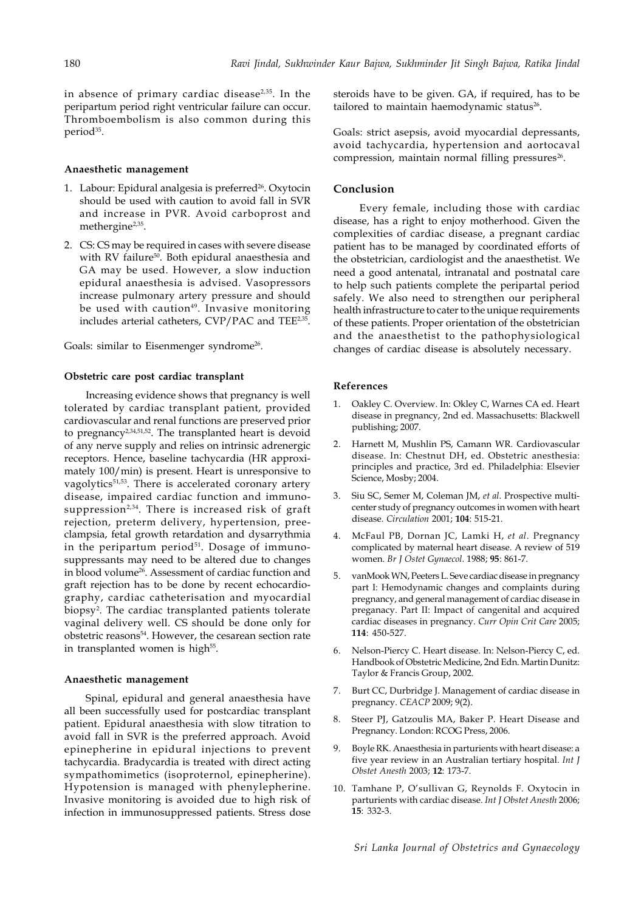in absence of primary cardiac disease2,35. In the peripartum period right ventricular failure can occur. Thromboembolism is also common during this period<sup>35</sup>.

#### **Anaesthetic management**

- 1. Labour: Epidural analgesia is preferred<sup>26</sup>. Oxytocin should be used with caution to avoid fall in SVR and increase in PVR. Avoid carboprost and methergine<sup>2,35</sup>.
- 2. CS: CS may be required in cases with severe disease with RV failure<sup>50</sup>. Both epidural anaesthesia and GA may be used. However, a slow induction epidural anaesthesia is advised. Vasopressors increase pulmonary artery pressure and should be used with caution<sup>49</sup>. Invasive monitoring includes arterial catheters, CVP/PAC and TEE<sup>2,35</sup>.

Goals: similar to Eisenmenger syndrome<sup>26</sup>.

### **Obstetric care post cardiac transplant**

Increasing evidence shows that pregnancy is well tolerated by cardiac transplant patient, provided cardiovascular and renal functions are preserved prior to pregnancy<sup>2,34,51,52</sup>. The transplanted heart is devoid of any nerve supply and relies on intrinsic adrenergic receptors. Hence, baseline tachycardia (HR approximately 100/min) is present. Heart is unresponsive to vagolytics<sup>51,53</sup>. There is accelerated coronary artery disease, impaired cardiac function and immunosuppression<sup>2,34</sup>. There is increased risk of graft rejection, preterm delivery, hypertension, preeclampsia, fetal growth retardation and dysarrythmia in the peripartum period<sup>51</sup>. Dosage of immunosuppressants may need to be altered due to changes in blood volume<sup>26</sup>. Assessment of cardiac function and graft rejection has to be done by recent echocardiography, cardiac catheterisation and myocardial biopsy2 . The cardiac transplanted patients tolerate vaginal delivery well. CS should be done only for obstetric reasons<sup>54</sup>. However, the cesarean section rate in transplanted women is high<sup>55</sup>.

### **Anaesthetic management**

Spinal, epidural and general anaesthesia have all been successfully used for postcardiac transplant patient. Epidural anaesthesia with slow titration to avoid fall in SVR is the preferred approach. Avoid epinepherine in epidural injections to prevent tachycardia. Bradycardia is treated with direct acting sympathomimetics (isoproternol, epinepherine). Hypotension is managed with phenylepherine. Invasive monitoring is avoided due to high risk of infection in immunosuppressed patients. Stress dose

steroids have to be given. GA, if required, has to be tailored to maintain haemodynamic status<sup>26</sup>.

Goals: strict asepsis, avoid myocardial depressants, avoid tachycardia, hypertension and aortocaval compression, maintain normal filling pressures<sup>26</sup>.

# **Conclusion**

 Every female, including those with cardiac disease, has a right to enjoy motherhood. Given the complexities of cardiac disease, a pregnant cardiac patient has to be managed by coordinated efforts of the obstetrician, cardiologist and the anaesthetist. We need a good antenatal, intranatal and postnatal care to help such patients complete the peripartal period safely. We also need to strengthen our peripheral health infrastructure to cater to the unique requirements of these patients. Proper orientation of the obstetrician and the anaesthetist to the pathophysiological changes of cardiac disease is absolutely necessary.

# **References**

- 1. Oakley C. Overview. In: Okley C, Warnes CA ed. Heart disease in pregnancy, 2nd ed. Massachusetts: Blackwell publishing; 2007.
- 2. Harnett M, Mushlin PS, Camann WR. Cardiovascular disease. In: Chestnut DH, ed. Obstetric anesthesia: principles and practice, 3rd ed. Philadelphia: Elsevier Science, Mosby; 2004.
- 3. Siu SC, Semer M, Coleman JM, *et al*. Prospective multicenter study of pregnancy outcomes in women with heart disease. *Circulation* 2001; **104**: 515-21.
- 4. McFaul PB, Dornan JC, Lamki H, *et al*. Pregnancy complicated by maternal heart disease. A review of 519 women. *Br J Ostet Gynaecol*. 1988; **95**: 861-7.
- 5. vanMook WN, Peeters L. Seve cardiac disease in pregnancy part I: Hemodynamic changes and complaints during pregnancy, and general management of cardiac disease in preganacy. Part II: Impact of cangenital and acquired cardiac diseases in pregnancy. *Curr Opin Crit Care* 2005; **114**: 450-527.
- 6. Nelson-Piercy C. Heart disease. In: Nelson-Piercy C, ed. Handbook of Obstetric Medicine, 2nd Edn. Martin Dunitz: Taylor & Francis Group, 2002.
- 7. Burt CC, Durbridge J. Management of cardiac disease in pregnancy. *CEACP* 2009; 9(2).
- 8. Steer PJ, Gatzoulis MA, Baker P. Heart Disease and Pregnancy. London: RCOG Press, 2006.
- 9. Boyle RK. Anaesthesia in parturients with heart disease: a five year review in an Australian tertiary hospital. *Int J Obstet Anesth* 2003; **12**: 173-7.
- 10. Tamhane P, O'sullivan G, Reynolds F. Oxytocin in parturients with cardiac disease. *Int J Obstet Anesth* 2006; **15**: 332-3.

*Sri Lanka Journal of Obstetrics and Gynaecology*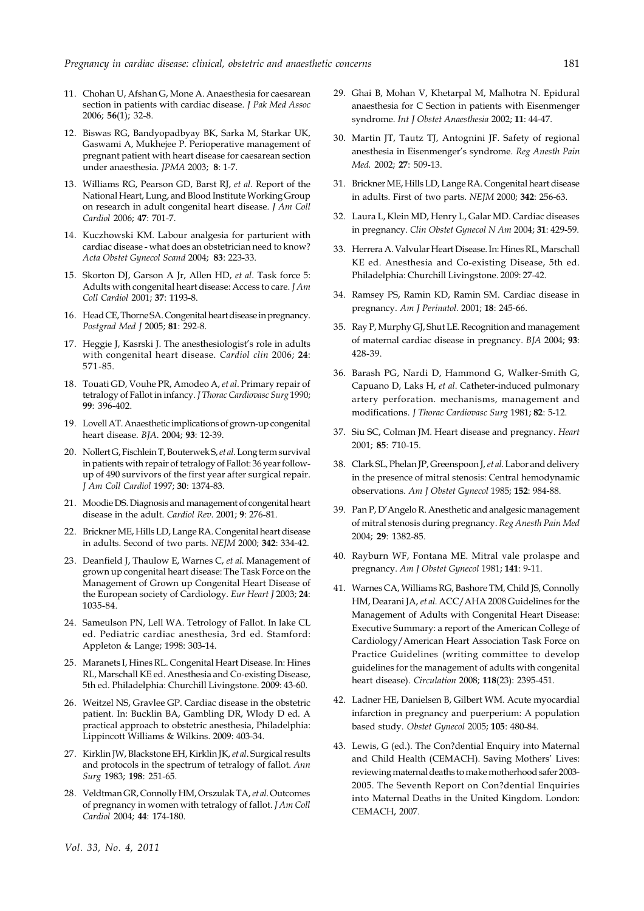- 11. Chohan U, Afshan G, Mone A. Anaesthesia for caesarean section in patients with cardiac disease. *J Pak Med Assoc* 2006; **56**(1); 32-8.
- 12. Biswas RG, Bandyopadbyay BK, Sarka M, Starkar UK, Gaswami A, Mukhejee P. Perioperative management of pregnant patient with heart disease for caesarean section under anaesthesia. *JPMA* 2003; **8**: 1-7.
- 13. Williams RG, Pearson GD, Barst RJ, *et al*. Report of the National Heart, Lung, and Blood Institute Working Group on research in adult congenital heart disease. *J Am Coll Cardiol* 2006; **47**: 701-7.
- 14. Kuczhowski KM. Labour analgesia for parturient with cardiac disease - what does an obstetrician need to know? *Acta Obstet Gynecol Scand* 2004; **83**: 223-33.
- 15. Skorton DJ, Garson A Jr, Allen HD, *et al*. Task force 5: Adults with congenital heart disease: Access to care. *J Am Coll Cardiol* 2001; **37**: 1193-8.
- 16. Head CE, Thorne SA. Congenital heart disease in pregnancy. *Postgrad Med J* 2005; **81**: 292-8.
- 17. Heggie J, Kasrski J. The anesthesiologist's role in adults with congenital heart disease. *Cardiol clin* 2006; **24**: 571-85.
- 18. Touati GD, Vouhe PR, Amodeo A, *et al*. Primary repair of tetralogy of Fallot in infancy. *J Thorac Cardiovasc Surg* 1990; **99**: 396-402.
- 19. Lovell AT. Anaesthetic implications of grown-up congenital heart disease. *BJA*. 2004; **93**: 12-39.
- 20. Nollert G, Fischlein T, Bouterwek S, *et al*. Long term survival in patients with repair of tetralogy of Fallot: 36 year followup of 490 survivors of the first year after surgical repair. *J Am Coll Cardiol* 1997; **30**: 1374-83.
- 21. Moodie DS. Diagnosis and management of congenital heart disease in the adult. *Cardiol Rev.* 2001; **9**: 276-81.
- 22. Brickner ME, Hills LD, Lange RA. Congenital heart disease in adults. Second of two parts. *NEJM* 2000; **342**: 334-42.
- 23. Deanfield J, Thaulow E, Warnes C, *et al*. Management of grown up congenital heart disease: The Task Force on the Management of Grown up Congenital Heart Disease of the European society of Cardiology. *Eur Heart J* 2003; **24**: 1035-84.
- 24. Sameulson PN, Lell WA. Tetrology of Fallot. In lake CL ed. Pediatric cardiac anesthesia, 3rd ed. Stamford: Appleton & Lange; 1998: 303-14.
- 25. Maranets I, Hines RL. Congenital Heart Disease. In: Hines RL, Marschall KE ed. Anesthesia and Co-existing Disease, 5th ed. Philadelphia: Churchill Livingstone. 2009: 43-60.
- 26. Weitzel NS, Gravlee GP. Cardiac disease in the obstetric patient. In: Bucklin BA, Gambling DR, Wlody D ed. A practical approach to obstetric anesthesia, Philadelphia: Lippincott Williams & Wilkins. 2009: 403-34.
- 27. Kirklin JW, Blackstone EH, Kirklin JK, *et al*. Surgical results and protocols in the spectrum of tetralogy of fallot. *Ann Surg* 1983; **198**: 251-65.
- 28. Veldtman GR, Connolly HM, Orszulak TA, *et al*. Outcomes of pregnancy in women with tetralogy of fallot. *J Am Coll Cardiol* 2004; **44**: 174-180.
- 29. Ghai B, Mohan V, Khetarpal M, Malhotra N. Epidural anaesthesia for C Section in patients with Eisenmenger syndrome. *Int J Obstet Anaesthesia* 2002; **11**: 44-47.
- 30. Martin JT, Tautz TJ, Antognini JF. Safety of regional anesthesia in Eisenmenger's syndrome. *Reg Anesth Pain Med.* 2002; **27**: 509-13.
- 31. Brickner ME, Hills LD, Lange RA. Congenital heart disease in adults. First of two parts. *NEJM* 2000; **342**: 256-63.
- 32. Laura L, Klein MD, Henry L, Galar MD. Cardiac diseases in pregnancy. *Clin Obstet Gynecol N Am* 2004; **31**: 429-59.
- 33. Herrera A. Valvular Heart Disease. In: Hines RL, Marschall KE ed. Anesthesia and Co-existing Disease, 5th ed. Philadelphia: Churchill Livingstone. 2009: 27-42.
- 34. Ramsey PS, Ramin KD, Ramin SM. Cardiac disease in pregnancy. *Am J Perinatol.* 2001; **18**: 245-66.
- 35. Ray P, Murphy GJ, Shut LE. Recognition and management of maternal cardiac disease in pregnancy. *BJA* 2004; **93**: 428-39.
- 36. Barash PG, Nardi D, Hammond G, Walker-Smith G, Capuano D, Laks H, *et al*. Catheter-induced pulmonary artery perforation. mechanisms, management and modifications. *J Thorac Cardiovasc Surg* 1981; **82**: 5-12.
- 37. Siu SC, Colman JM. Heart disease and pregnancy. *Heart* 2001; **85**: 710-15.
- 38. Clark SL, Phelan JP, Greenspoon J, *et al*. Labor and delivery in the presence of mitral stenosis: Central hemodynamic observations. *Am J Obstet Gynecol* 1985; **152**: 984-88.
- 39. Pan P, D'Angelo R. Anesthetic and analgesic management of mitral stenosis during pregnancy. *Reg Anesth Pain Med* 2004; **29**: 1382-85.
- 40. Rayburn WF, Fontana ME. Mitral vale prolaspe and pregnancy. *Am J Obstet Gynecol* 1981; **141**: 9-11.
- 41. Warnes CA, Williams RG, Bashore TM, Child JS, Connolly HM, Dearani JA, *et al*. ACC/AHA 2008 Guidelines for the Management of Adults with Congenital Heart Disease: Executive Summary: a report of the American College of Cardiology/American Heart Association Task Force on Practice Guidelines (writing committee to develop guidelines for the management of adults with congenital heart disease). *Circulation* 2008; **118**(23): 2395-451.
- 42. Ladner HE, Danielsen B, Gilbert WM. Acute myocardial infarction in pregnancy and puerperium: A population based study. *Obstet Gynecol* 2005; **105**: 480-84.
- 43. Lewis, G (ed.). The Con?dential Enquiry into Maternal and Child Health (CEMACH). Saving Mothers' Lives: reviewing maternal deaths to make motherhood safer 2003- 2005. The Seventh Report on Con?dential Enquiries into Maternal Deaths in the United Kingdom. London: CEMACH, 2007.